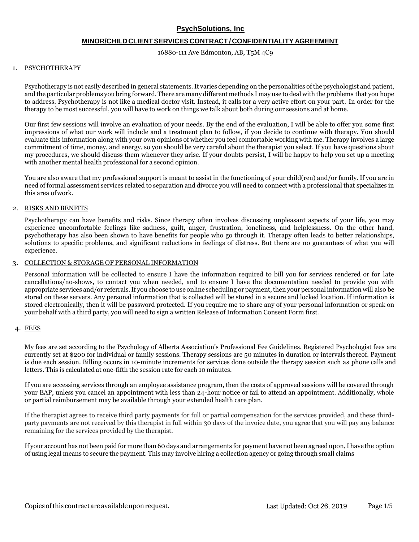### **MINOR/CHILDCLIENTSERVICES CONTRACT / CONFIDENTIALITY AGREEMENT**

16880-111 Ave Edmonton, AB, T5M 4C9

#### 1. PSYCHOTHERAPY

Psychotherapy is not easily described in general statements.It varies depending on the personalities ofthe psychologist and patient, and the particular problems you bring forward. There are many different methods I may use to deal with the problems that you hope to address. Psychotherapy is not like a medical doctor visit. Instead, it calls for a very active effort on your part. In order for the therapy to be most successful, you will have to work on things we talk about both during our sessions and at home.

Our first few sessions will involve an evaluation of your needs. By the end of the evaluation, I will be able to offer you some first impressions of what our work will include and a treatment plan to follow, if you decide to continue with therapy. You should evaluate this information along with your own opinions of whether you feel comfortable working with me. Therapy involves a large commitment of time, money, and energy, so you should be very careful about the therapist you select. If you have questions about my procedures, we should discuss them whenever they arise. If your doubts persist, I will be happy to help you set up a meeting with another mental health professional for a second opinion.

You are also aware that my professional support is meant to assist in the functioning of your child(ren) and/or family. If you are in need of formal assessment services related to separation and divorce you will need to connect with a professional that specializes in this area ofwork.

#### 2. RISKS AND BENFITS

Psychotherapy can have benefits and risks. Since therapy often involves discussing unpleasant aspects of your life, you may experience uncomfortable feelings like sadness, guilt, anger, frustration, loneliness, and helplessness. On the other hand, psychotherapy has also been shown to have benefits for people who go through it. Therapy often leads to better relationships, solutions to specific problems, and significant reductions in feelings of distress. But there are no guarantees of what you will experience.

#### 3. COLLECTION & STORAGE OF PERSONAL INFORMATION

Personal information will be collected to ensure I have the information required to bill you for services rendered or for late cancellations/no-shows, to contact you when needed, and to ensure I have the documentation needed to provide you with appropriate services and/or referrals. If you choose to use online scheduling or payment, then your personal information will also be stored on these servers. Any personal information that is collected will be stored in a secure and locked location. If information is stored electronically, then it will be password protected. If you require me to share any of your personal information or speak on your behalf with a third party, you will need to sign a written Release of Information Consent Form first.

#### 4. FEES

My fees are set according to the Psychology of Alberta Association's Professional Fee Guidelines. Registered Psychologist fees are currently set at \$200 for individual or family sessions. Therapy sessions are 50 minutes in duration or intervals thereof. Payment is due each session. Billing occurs in 10-minute increments for services done outside the therapy session such as phone calls and letters. This is calculated at one-fifth the session rate for each 10 minutes.

If you are accessing services through an employee assistance program, then the costs of approved sessions will be covered through your EAP, unless you cancel an appointment with less than 24-hour notice or fail to attend an appointment. Additionally, whole or partial reimbursement may be available through your extended health care plan.

If the therapist agrees to receive third party payments for full or partial compensation for the services provided, and these thirdparty payments are not received by this therapist in full within 30 days of the invoice date, you agree that you will pay any balance remaining for the services provided by the therapist.

If your account has not been paid for more than 60 days and arrangements for payment have not been agreed upon,I have the option of using legal means to secure the payment. This may involve hiring a collection agency or going through small claims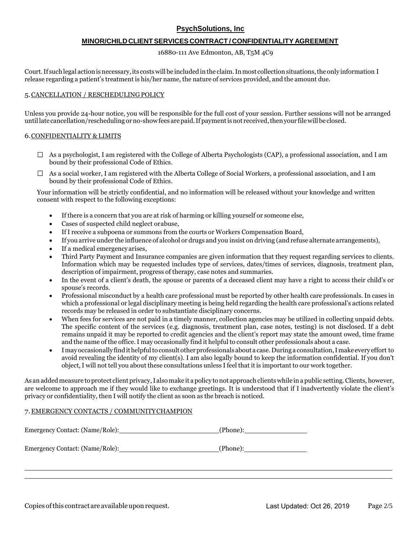# **MINOR/CHILD CLIENT SERVICES CONTRACT / CONFIDENTIALITY AGREEMENT**

### 16880-111 Ave Edmonton, AB, T5M 4C9

Court. If such legal action is necessary, its costs will be included in the claim. In most collection situations, the only information I release regarding a patient's treatment is his/her name, the nature of services provided, and the amount due.

#### 5.CANCELLATION / RESCHEDULING POLICY

Unless you provide 24-hour notice, you will be responsible for the full cost of your session. Further sessions will not be arranged until late cancellation/rescheduling or no-show fees are paid. If payment is not received, then your file will be closed.

#### 6.CONFIDENTIALITY & LIMITS

- $\Box$  As a psychologist, I am registered with the College of Alberta Psychologists (CAP), a professional association, and I am bound by their professional Code of Ethics.
- $\Box$  As a social worker, I am registered with the Alberta College of Social Workers, a professional association, and I am bound by their professional Code of Ethics.

Your information will be strictly confidential, and no information will be released without your knowledge and written consent with respect to the following exceptions:

- If there is a concern that you are at risk of harming or killing yourself or someone else,
- Cases of suspected child neglect orabuse,
- IfI receive a subpoena or summons from the courts or Workers Compensation Board,
- If you arrive under the influence of alcohol or drugs and you insist on driving (and refuse alternate arrangements),
- If a medical emergency arises,
- Third Party Payment and Insurance companies are given information that they request regarding services to clients. Information which may be requested includes type of services, dates/times of services, diagnosis, treatment plan, description of impairment, progress of therapy, case notes and summaries.
- In the event of a client's death, the spouse or parents of a deceased client may have a right to access their child's or spouse's records.
- Professional misconduct by a health care professional must be reported by other health care professionals. In cases in which a professional or legal disciplinary meeting is being held regarding the health care professional's actions related records may be released in order to substantiate disciplinary concerns.
- When fees for services are not paid in a timely manner, collection agencies may be utilized in collecting unpaid debts. The specific content of the services (e.g. diagnosis, treatment plan, case notes, testing) is not disclosed. If a debt remains unpaid it may be reported to credit agencies and the client's report may state the amount owed, time frame and the name of the office.I may occasionally find it helpful to consult other professionals about a case.
- I may occasionally find it helpful to consult other professionals about a case. During a consultation, I make every effort to avoid revealing the identity of my client(s). I am also legally bound to keep the information confidential. If you don't object,I will not tell you about these consultations unless Ifeel that it is important to our work together.

As an added measure to protect client privacy, I also make it a policy to not approach clients while in a public setting. Clients, however, are welcome to approach me if they would like to exchange greetings. It is understood that if I inadvertently violate the client's privacy or confidentiality, then I will notify the client as soon as the breach is noticed.

### 7.EMERGENCY CONTACTS / COMMUNITYCHAMPION

| Emergency Contact: (Name/Role): | (Phone): |
|---------------------------------|----------|
|                                 |          |

Emergency Contact: (Name/Role): (Phone): (Phone):

Copies ofthis contract are availableuponrequest. Last Updated: Oct 26, 2019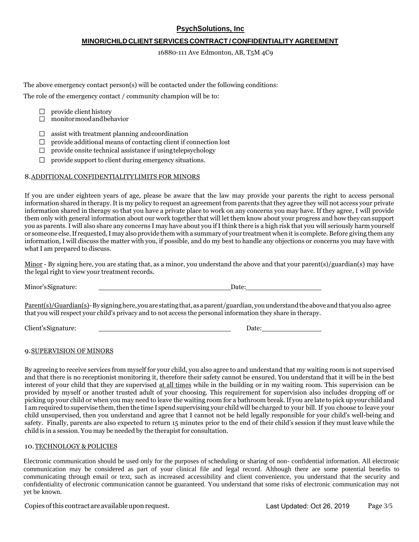### **MINOR/CHILD CLIENT SERVICES CONTRACT / CONFIDENTIALITY AGREEMENT**

16880-111 Ave Edmonton, AB, T5M 4C9

The above emergency contact person(s) will be contacted under the following conditions:

The role of the emergency contact / community champion will be to:

- $\Box$  provide client history
- $\Box$ monitormoodandbehavior
- $\Box$  assist with treatment planning and coordination
- $\Box$  provide additional means of contacting client if connection lost
- $\Box$  provide onsite technical assistance if using telepsychology
- $\Box$  provide support to client during emergency situations.

# 8.ADDITIONAL CONFIDENTIALITYLIMITS FOR MINORS

If you are under eighteen years of age, please be aware that the law may provide your parents the right to access personal information shared in therapy.It is my policy to request an agreement from parents that they agree they will not access your private information shared in therapy so that you have a private place to work on any concerns you may have. If they agree, I will provide them only with general information about our work together that will let them know about your progress and how they cansupport you as parents. I will also share any concerns I may have about you ifI think there is a high risk that you will seriously harm yourself or someone else.If requested,I may also provide them with a summary of your treatment whenit is complete. Before giving them any information, I will discuss the matter with you, if possible, and do my best to handle any objections or concerns you may have with what I am prepared to discuss.

Minor - By signing here, you are stating that, as a minor, you understand the above and that your parent(s)/guardian(s) may have the legal right to view your treatment records.

Minor's Signature: 2008 and 2008 and 2008 and 2008 and 2008 and 2008 and 2008 and 2008 and 2008 and 2008 and 2008 and 2008 and 2008 and 2008 and 2008 and 2008 and 2008 and 2008 and 2008 and 2008 and 2008 and 2008 and 2008

Parent(s)/Guardian(s)-By signing here, you are stating that, as a parent/guardian, you understand the above and that you also agree that you will respect your child's privacy and to not access the personal information they share in therapy.

Client'sSignature: Date:

### 9.SUPERVISION OF MINORS

By agreeing to receive services from myself for your child, you also agree to and understand that my waiting room is not supervised and that there is no receptionist monitoring it, therefore their safety cannot be ensured. You understand that it will be in the best interest of your child that they are supervised at all times while in the building or in my waiting room. This supervision can be provided by myself or another trusted adult of your choosing. This requirement for supervision also includes dropping off or picking up your child or when you may need to leave the waiting room for a bathroom break. If you are late to pick up your child and I am required to supervise them,then the time I spend supervising your child will be charged to your bill. If you choose to leave your child unsupervised, then you understand and agree that I cannot not be held legally responsible for your child's well-being and safety. Finally, parents are also expected to return 15 minutes prior to the end of their child's session if they must leave while the child is in a session. You may be needed by the therapist for consultation.

### 10.TECHNOLOGY & POLICIES

Electronic communication should be used only for the purposes of scheduling or sharing of non- confidential information. All electronic communication may be considered as part of your clinical file and legal record. Although there are some potential benefits to communicating through email or text, such as increased accessibility and client convenience, you understand that the security and confidentiality of electronic communication cannot be guaranteed. You understand that some risks of electronic communication may not yet be known.

Copies ofthis contract are availableuponrequest. Last Updated: Oct 26, 2019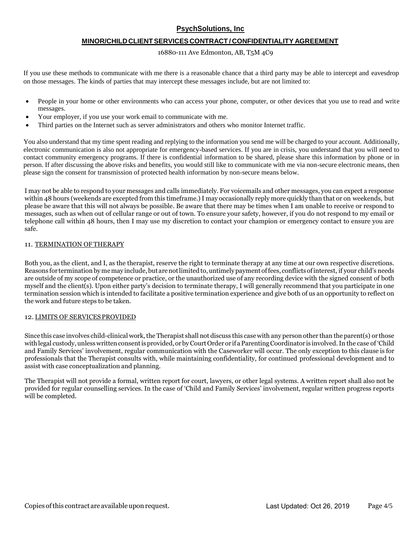# **MINOR/CHILD CLIENT SERVICES CONTRACT / CONFIDENTIALITY AGREEMENT**

# 16880-111 Ave Edmonton, AB, T5M 4C9

If you use these methods to communicate with me there is a reasonable chance that a third party may be able to intercept and eavesdrop on those messages. The kinds of parties that may intercept these messages include, but are not limited to:

- People in your home or other environments who can access your phone, computer, or other devices that you use to read and write messages.
- Your employer, if you use your work email to communicate with me.
- Third parties on the Internet such as server administrators and others who monitor Internet traffic.

You also understand that my time spent reading and replying to the information you send me will be charged to your account. Additionally, electronic communication is also not appropriate for emergency-based services. If you are in crisis, you understand that you will need to contact community emergency programs. If there is confidential information to be shared, please share this information by phone or in person. If after discussing the above risks and benefits, you would still like to communicate with me via non-secure electronic means, then please sign the consent for transmission of protected health information by non-secure means below.

I may not be able to respond to your messages and calls immediately. For voicemails and other messages, you can expect a response within 48 hours (weekends are excepted from this timeframe.) I may occasionally reply more quickly than that or on weekends, but please be aware that this will not always be possible. Be aware that there may be times when I am unable to receive or respond to messages, such as when out of cellular range or out of town. To ensure your safety, however, if you do not respond to my email or telephone call within 48 hours, then I may use my discretion to contact your champion or emergency contact to ensure you are safe.

### 11. TERMINATION OF THERAPY

Both you, as the client, and I, as the therapist, reserve the right to terminate therapy at any time at our own respective discretions. Reasons for termination by me may include, but are not limited to, untimely payment of fees, conflicts of interest, if your child's needs are outside of my scope of competence or practice, or the unauthorized use of any recording device with the signed consent of both myself and the client(s). Upon either party's decision to terminate therapy, I will generally recommend that you participate in one termination session which is intended to facilitate a positive termination experience and give both of us an opportunity to reflect on the work and future steps to be taken.

### 12. LIMITS OF SERVICESPROVIDED

Since this case involves child-clinical work, the Therapist shall not discuss this case with any person other than the parent(s) or those with legal custody, unless written consent is provided, or by Court Order or if a Parenting Coordinator is involved. In the case of 'Child and Family Services' involvement, regular communication with the Caseworker will occur. The only exception to this clause is for professionals that the Therapist consults with, while maintaining confidentiality, for continued professional development and to assist with case conceptualization and planning.

The Therapist will not provide a formal, written report for court, lawyers, or other legal systems. A written report shall also not be provided for regular counselling services. In the case of 'Child and Family Services' involvement, regular written progress reports will be completed.